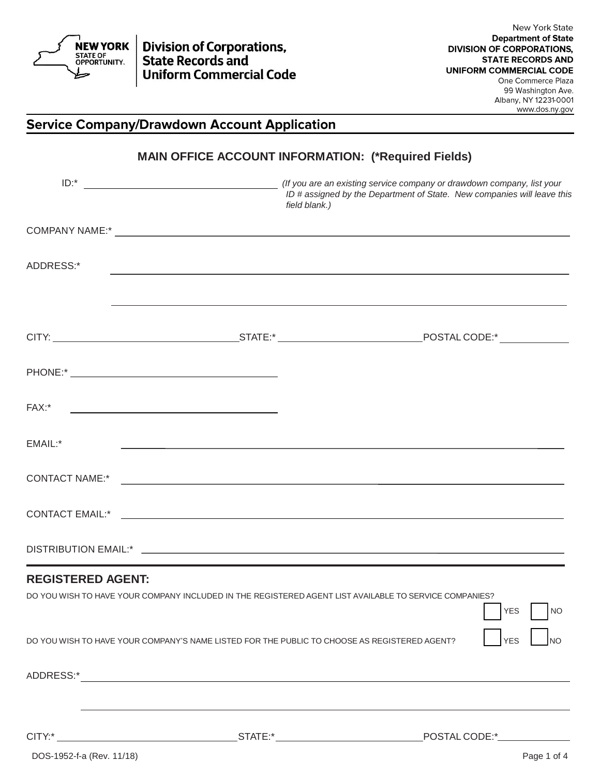

**Division of Corporations,<br>State Records and Uniform Commercial Code** 

Albany, NY 12231-0001 www.dos.ny.gov

## **Service Company/Drawdown Account Application**

|                                                                                                                                    | field blank.) | ID # assigned by the Department of State. New companies will leave this |
|------------------------------------------------------------------------------------------------------------------------------------|---------------|-------------------------------------------------------------------------|
|                                                                                                                                    |               |                                                                         |
| ADDRESS:*                                                                                                                          |               |                                                                         |
|                                                                                                                                    |               |                                                                         |
|                                                                                                                                    |               |                                                                         |
| FAX:*<br><u> 1989 - Johann Barbara, martin amerikan basal dan basal dan basal dan basal dan basal dan basal dan basal dan</u>      |               |                                                                         |
| EMAIL:*                                                                                                                            |               |                                                                         |
|                                                                                                                                    |               |                                                                         |
|                                                                                                                                    |               |                                                                         |
|                                                                                                                                    |               |                                                                         |
| <b>REGISTERED AGENT:</b><br>DO YOU WISH TO HAVE YOUR COMPANY INCLUDED IN THE REGISTERED AGENT LIST AVAILABLE TO SERVICE COMPANIES? |               | <b>YES</b><br><b>NO</b>                                                 |
| DO YOU WISH TO HAVE YOUR COMPANY'S NAME LISTED FOR THE PUBLIC TO CHOOSE AS REGISTERED AGENT?                                       |               | <b>YES</b><br><b>NO</b>                                                 |
|                                                                                                                                    |               |                                                                         |
|                                                                                                                                    |               |                                                                         |

**MAIN OFFICE ACCOUNT INFORMATION: (\*Required Fields)**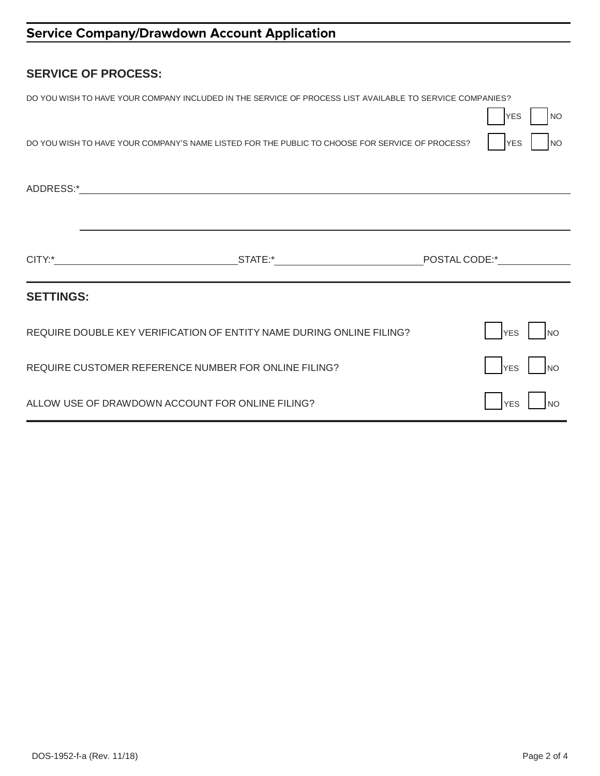| <b>SERVICE OF PROCESS:</b>                           |                                                                                                          |  |                         |
|------------------------------------------------------|----------------------------------------------------------------------------------------------------------|--|-------------------------|
|                                                      | DO YOU WISH TO HAVE YOUR COMPANY INCLUDED IN THE SERVICE OF PROCESS LIST AVAILABLE TO SERVICE COMPANIES? |  | <b>NO</b><br><b>YES</b> |
|                                                      | DO YOU WISH TO HAVE YOUR COMPANY'S NAME LISTED FOR THE PUBLIC TO CHOOSE FOR SERVICE OF PROCESS?          |  | <b>YES</b><br>NO        |
|                                                      |                                                                                                          |  |                         |
|                                                      |                                                                                                          |  |                         |
|                                                      |                                                                                                          |  |                         |
| <b>SETTINGS:</b>                                     |                                                                                                          |  |                         |
|                                                      | REQUIRE DOUBLE KEY VERIFICATION OF ENTITY NAME DURING ONLINE FILING?                                     |  | <b>YES</b><br><b>NO</b> |
| REQUIRE CUSTOMER REFERENCE NUMBER FOR ONLINE FILING? |                                                                                                          |  | <b>YES</b><br><b>NO</b> |
| ALLOW USE OF DRAWDOWN ACCOUNT FOR ONLINE FILING?     |                                                                                                          |  | <b>YES</b>              |

# Service Company/Drawdown Account Application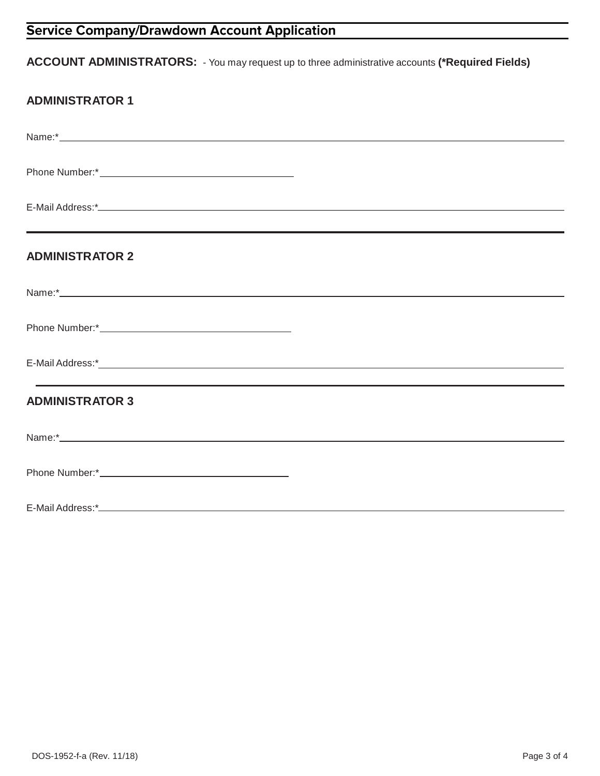# **Service Company/Drawdown Account Application**

## **ACCOUNT ADMINISTRATORS:** - You may request up to three administrative accounts **(\*Required Fields)**

|  | <b>ADMINISTRATOR 1</b> |  |
|--|------------------------|--|
|  |                        |  |

| <b>ADMINISTRATOR 2</b> |
|------------------------|
|                        |
|                        |
|                        |
| <b>ADMINISTRATOR 3</b> |
|                        |
|                        |
|                        |